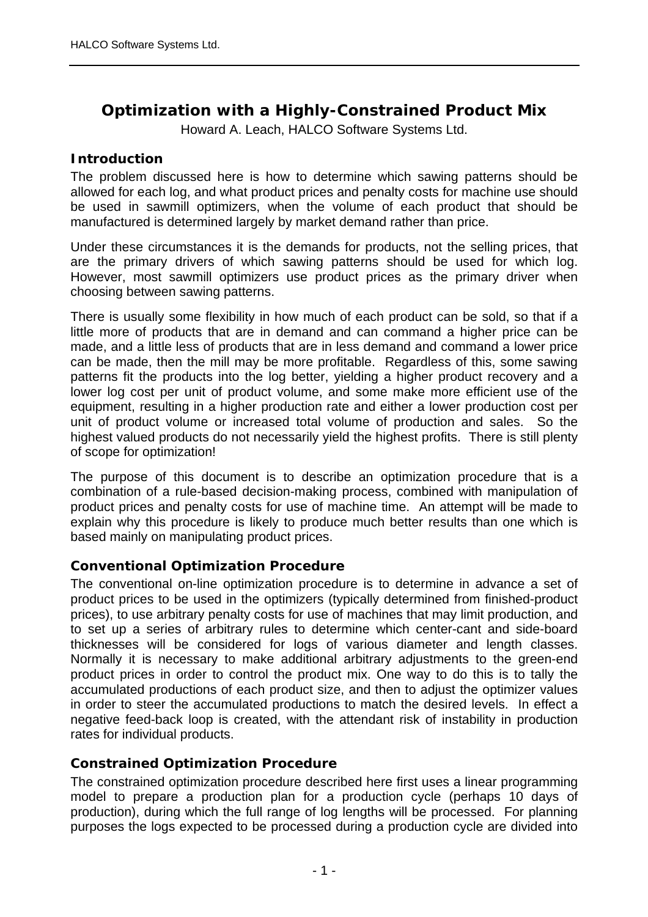# **Optimization with a Highly-Constrained Product Mix**

Howard A. Leach, HALCO Software Systems Ltd.

## **Introduction**

The problem discussed here is how to determine which sawing patterns should be allowed for each log, and what product prices and penalty costs for machine use should be used in sawmill optimizers, when the volume of each product that should be manufactured is determined largely by market demand rather than price.

Under these circumstances it is the demands for products, not the selling prices, that are the primary drivers of which sawing patterns should be used for which log. However, most sawmill optimizers use product prices as the primary driver when choosing between sawing patterns.

There is usually some flexibility in how much of each product can be sold, so that if a little more of products that are in demand and can command a higher price can be made, and a little less of products that are in less demand and command a lower price can be made, then the mill may be more profitable. Regardless of this, some sawing patterns fit the products into the log better, yielding a higher product recovery and a lower log cost per unit of product volume, and some make more efficient use of the equipment, resulting in a higher production rate and either a lower production cost per unit of product volume or increased total volume of production and sales. So the highest valued products do not necessarily yield the highest profits. There is still plenty of scope for optimization!

The purpose of this document is to describe an optimization procedure that is a combination of a rule-based decision-making process, combined with manipulation of product prices and penalty costs for use of machine time. An attempt will be made to explain why this procedure is likely to produce much better results than one which is based mainly on manipulating product prices.

## **Conventional Optimization Procedure**

The conventional on-line optimization procedure is to determine in advance a set of product prices to be used in the optimizers (typically determined from finished-product prices), to use arbitrary penalty costs for use of machines that may limit production, and to set up a series of arbitrary rules to determine which center-cant and side-board thicknesses will be considered for logs of various diameter and length classes. Normally it is necessary to make additional arbitrary adjustments to the green-end product prices in order to control the product mix. One way to do this is to tally the accumulated productions of each product size, and then to adjust the optimizer values in order to steer the accumulated productions to match the desired levels. In effect a negative feed-back loop is created, with the attendant risk of instability in production rates for individual products.

## **Constrained Optimization Procedure**

The constrained optimization procedure described here first uses a linear programming model to prepare a production plan for a production cycle (perhaps 10 days of production), during which the full range of log lengths will be processed. For planning purposes the logs expected to be processed during a production cycle are divided into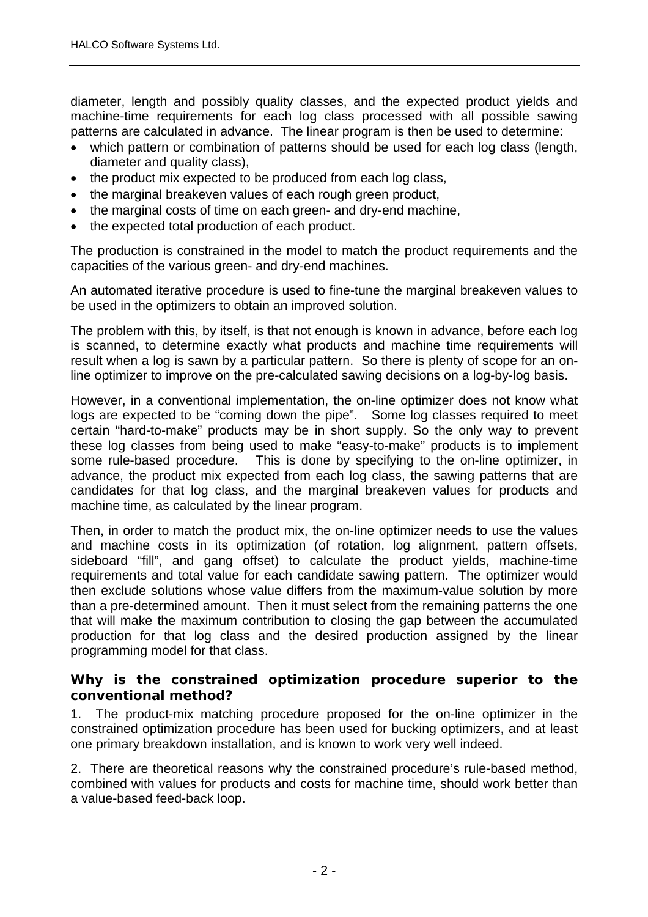diameter, length and possibly quality classes, and the expected product yields and machine-time requirements for each log class processed with all possible sawing patterns are calculated in advance. The linear program is then be used to determine:

- which pattern or combination of patterns should be used for each log class (length, diameter and quality class),
- the product mix expected to be produced from each log class,
- the marginal breakeven values of each rough green product,
- the marginal costs of time on each green- and dry-end machine,
- the expected total production of each product.

The production is constrained in the model to match the product requirements and the capacities of the various green- and dry-end machines.

An automated iterative procedure is used to fine-tune the marginal breakeven values to be used in the optimizers to obtain an improved solution.

The problem with this, by itself, is that not enough is known in advance, before each log is scanned, to determine exactly what products and machine time requirements will result when a log is sawn by a particular pattern. So there is plenty of scope for an online optimizer to improve on the pre-calculated sawing decisions on a log-by-log basis.

However, in a conventional implementation, the on-line optimizer does not know what logs are expected to be "coming down the pipe". Some log classes required to meet certain "hard-to-make" products may be in short supply. So the only way to prevent these log classes from being used to make "easy-to-make" products is to implement some rule-based procedure. This is done by specifying to the on-line optimizer, in advance, the product mix expected from each log class, the sawing patterns that are candidates for that log class, and the marginal breakeven values for products and machine time, as calculated by the linear program.

Then, in order to match the product mix, the on-line optimizer needs to use the values and machine costs in its optimization (of rotation, log alignment, pattern offsets, sideboard "fill", and gang offset) to calculate the product yields, machine-time requirements and total value for each candidate sawing pattern. The optimizer would then exclude solutions whose value differs from the maximum-value solution by more than a pre-determined amount. Then it must select from the remaining patterns the one that will make the maximum contribution to closing the gap between the accumulated production for that log class and the desired production assigned by the linear programming model for that class.

#### **Why is the constrained optimization procedure superior to the conventional method?**

1. The product-mix matching procedure proposed for the on-line optimizer in the constrained optimization procedure has been used for bucking optimizers, and at least one primary breakdown installation, and is known to work very well indeed.

2. There are theoretical reasons why the constrained procedure's rule-based method, combined with values for products and costs for machine time, should work better than a value-based feed-back loop.